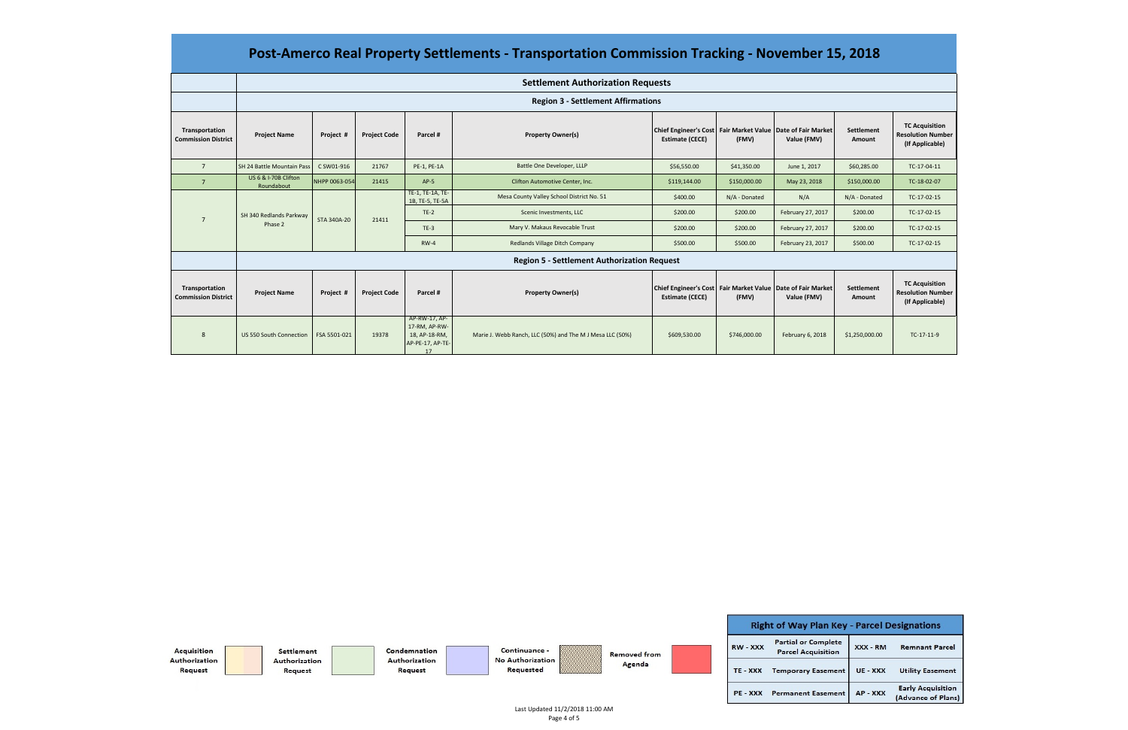|                                              | <b>Settlement Authorization Requests</b>           |               |                     |                                                                           |                                                           |                                                                                           |                                |                   |                      |                                                                      |          |             |
|----------------------------------------------|----------------------------------------------------|---------------|---------------------|---------------------------------------------------------------------------|-----------------------------------------------------------|-------------------------------------------------------------------------------------------|--------------------------------|-------------------|----------------------|----------------------------------------------------------------------|----------|-------------|
|                                              | <b>Region 3 - Settlement Affirmations</b>          |               |                     |                                                                           |                                                           |                                                                                           |                                |                   |                      |                                                                      |          |             |
| Transportation<br><b>Commission District</b> | <b>Project Name</b>                                | Project #     | <b>Project Code</b> | Parcel #                                                                  | <b>Property Owner(s)</b>                                  | Chief Engineer's Cost   Fair Market Value   Date of Fair Market<br><b>Estimate (CECE)</b> | (FMV)                          | Value (FMV)       | Settlement<br>Amount | <b>TC Acquisition</b><br><b>Resolution Number</b><br>(If Applicable) |          |             |
| $\overline{7}$                               | SH 24 Battle Mountain Pass                         | C SW01-916    | 21767               | PE-1, PE-1A                                                               | Battle One Developer, LLLP                                | \$56,550.00                                                                               | \$41,350.00                    | June 1, 2017      | \$60,285.00          | TC-17-04-11                                                          |          |             |
| $\overline{7}$                               | US 6 & I-70B Clifton<br>Roundabout                 | NHPP 0063-054 | 21415               | $AP-5$                                                                    | Clifton Automotive Center, Inc.                           | \$119,144.00                                                                              | \$150,000.00                   | May 23, 2018      | \$150,000.00         | TC-18-02-07                                                          |          |             |
| SH 340 Redlands Parkway<br>Phase 2           |                                                    | STA 340A-20   |                     | TE-1, TE-1A, TE-<br>1B, TE-5, TE-5A                                       | Mesa County Valley School District No. 51                 | \$400.00                                                                                  | N/A - Donated                  | N/A               | N/A - Donated        | TC-17-02-15                                                          |          |             |
|                                              |                                                    |               | 21411               | $TE-2$                                                                    | Scenic Investments, LLC                                   | \$200.00                                                                                  | \$200.00                       | February 27, 2017 | \$200.00             | TC-17-02-15                                                          |          |             |
|                                              |                                                    |               |                     | $TE-3$                                                                    | Mary V. Makaus Revocable Trust                            | \$200.00                                                                                  | \$200.00                       | February 27, 2017 | \$200.00             | TC-17-02-15                                                          |          |             |
|                                              |                                                    |               |                     |                                                                           |                                                           | <b>RW-4</b>                                                                               | Redlands Village Ditch Company | \$500.00          | \$500.00             | February 23, 2017                                                    | \$500.00 | TC-17-02-15 |
|                                              | <b>Region 5 - Settlement Authorization Request</b> |               |                     |                                                                           |                                                           |                                                                                           |                                |                   |                      |                                                                      |          |             |
| Transportation<br><b>Commission District</b> | <b>Project Name</b>                                | Project #     | <b>Project Code</b> | Parcel #                                                                  | <b>Property Owner(s)</b>                                  | Chief Engineer's Cost   Fair Market Value   Date of Fair Market<br><b>Estimate (CECE)</b> | (FMV)                          | Value (FMV)       | Settlement<br>Amount | <b>TC Acquisition</b><br><b>Resolution Number</b><br>(If Applicable) |          |             |
| 8                                            | US 550 South Connection                            | FSA 5501-021  | 19378               | AP-RW-17, AP-<br>17-RM, AP-RW-<br>18, AP-18-RM,<br>AP-PE-17, AP-TE-<br>17 | Marie J. Webb Ranch, LLC (50%) and The M J Mesa LLC (50%) | \$609,530.00                                                                              | \$746,000.00                   | February 6, 2018  | \$1,250,000.00       | TC-17-11-9                                                           |          |             |



### **Post‐Amerco Real Property Settlements ‐ Transportation Commission Tracking ‐ November 15, 2018**

Last Updated 11/2/2018 11:00 AM Page 4 of 5

| <b>Key - Parcel Designations</b> |          |                                                |  |  |  |
|----------------------------------|----------|------------------------------------------------|--|--|--|
| lete<br>ion                      | XXX - RM | <b>Remnant Parcel</b>                          |  |  |  |
| nent                             | UE - XXX | <b>Utility Easement</b>                        |  |  |  |
| nent                             | AP - XXX | <b>Early Acquisition</b><br>(Advance of Plans) |  |  |  |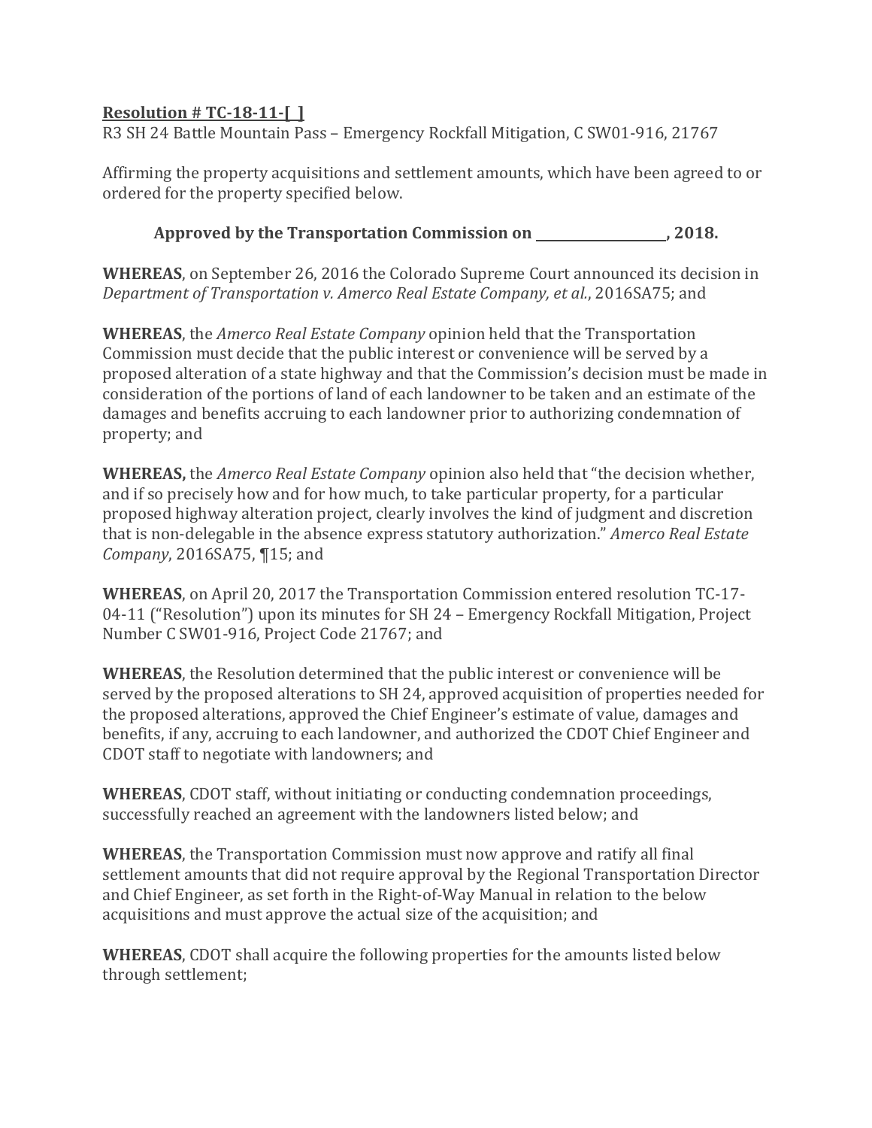R3 SH 24 Battle Mountain Pass – Emergency Rockfall Mitigation, C SW01-916, 21767

Affirming the property acquisitions and settlement amounts, which have been agreed to or ordered for the property specified below.

**Approved by the Transportation Commission on , 2018.**

**WHEREAS**, on September 26, 2016 the Colorado Supreme Court announced its decision in *Department of Transportation v. Amerco Real Estate Company, et al.*, 2016SA75; and

**WHEREAS**, the *Amerco Real Estate Company* opinion held that the Transportation Commission must decide that the public interest or convenience will be served by a proposed alteration of a state highway and that the Commission's decision must be made in consideration of the portions of land of each landowner to be taken and an estimate of the damages and benefits accruing to each landowner prior to authorizing condemnation of property; and

**WHEREAS,** the *Amerco Real Estate Company* opinion also held that "the decision whether, and if so precisely how and for how much, to take particular property, for a particular proposed highway alteration project, clearly involves the kind of judgment and discretion that is non-delegable in the absence express statutory authorization." *Amerco Real Estate Company*, 2016SA75, ¶15; and

**WHEREAS**, on April 20, 2017 the Transportation Commission entered resolution TC-17- 04-11 ("Resolution") upon its minutes for SH 24 – Emergency Rockfall Mitigation, Project Number C SW01-916, Project Code 21767; and

**WHEREAS**, the Resolution determined that the public interest or convenience will be served by the proposed alterations to SH 24, approved acquisition of properties needed for the proposed alterations, approved the Chief Engineer's estimate of value, damages and benefits, if any, accruing to each landowner, and authorized the CDOT Chief Engineer and CDOT staff to negotiate with landowners; and

**WHEREAS**, CDOT staff, without initiating or conducting condemnation proceedings, successfully reached an agreement with the landowners listed below; and

**WHEREAS**, the Transportation Commission must now approve and ratify all final settlement amounts that did not require approval by the Regional Transportation Director and Chief Engineer, as set forth in the Right-of-Way Manual in relation to the below acquisitions and must approve the actual size of the acquisition; and

**WHEREAS**, CDOT shall acquire the following properties for the amounts listed below through settlement;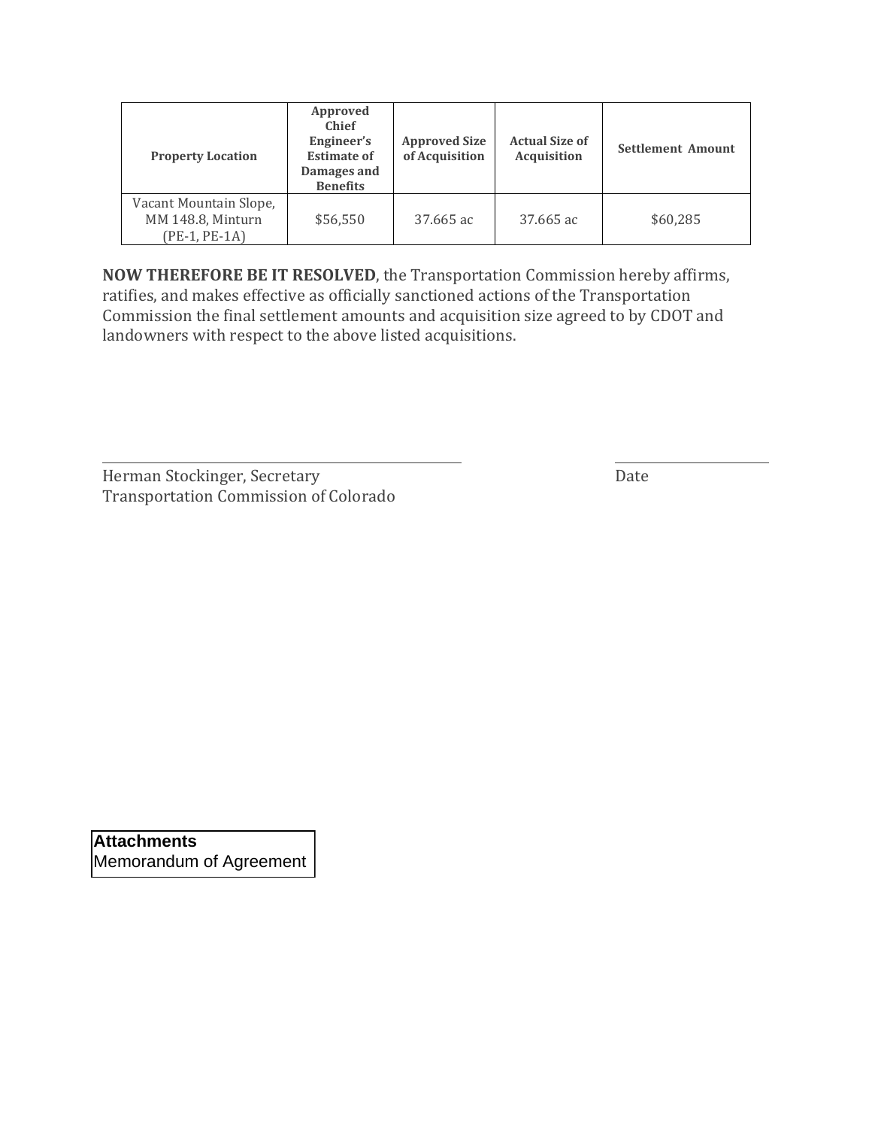| <b>Property Location</b>                                     | Approved<br><b>Chief</b><br>Engineer's<br><b>Approved Size</b><br>of Acquisition<br><b>Estimate of</b><br>Damages and<br><b>Benefits</b> |           | <b>Actual Size of</b><br><b>Acquisition</b> | <b>Settlement Amount</b> |  |
|--------------------------------------------------------------|------------------------------------------------------------------------------------------------------------------------------------------|-----------|---------------------------------------------|--------------------------|--|
| Vacant Mountain Slope,<br>MM 148.8, Minturn<br>(PE-1, PE-1A) | \$56,550                                                                                                                                 | 37.665 ac | 37.665 ac                                   | \$60,285                 |  |

**NOW THEREFORE BE IT RESOLVED**, the Transportation Commission hereby affirms, ratifies, and makes effective as officially sanctioned actions of the Transportation Commission the final settlement amounts and acquisition size agreed to by CDOT and landowners with respect to the above listed acquisitions.

Herman Stockinger, Secretary **Date** Transportation Commission of Colorado

**Attachments**  Memorandum of Agreement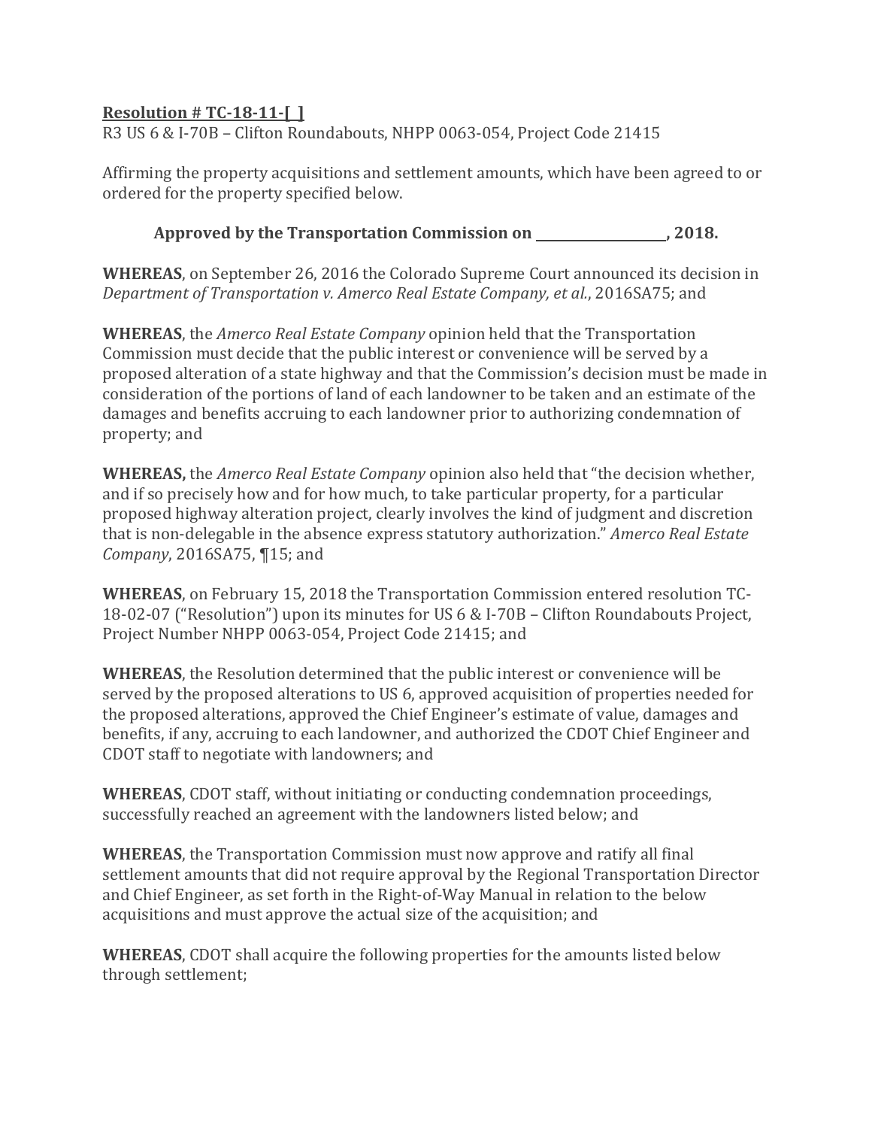R3 US 6 & I-70B – Clifton Roundabouts, NHPP 0063-054, Project Code 21415

Affirming the property acquisitions and settlement amounts, which have been agreed to or ordered for the property specified below.

**Approved by the Transportation Commission on , 2018.**

**WHEREAS**, on September 26, 2016 the Colorado Supreme Court announced its decision in *Department of Transportation v. Amerco Real Estate Company, et al.*, 2016SA75; and

**WHEREAS**, the *Amerco Real Estate Company* opinion held that the Transportation Commission must decide that the public interest or convenience will be served by a proposed alteration of a state highway and that the Commission's decision must be made in consideration of the portions of land of each landowner to be taken and an estimate of the damages and benefits accruing to each landowner prior to authorizing condemnation of property; and

**WHEREAS,** the *Amerco Real Estate Company* opinion also held that "the decision whether, and if so precisely how and for how much, to take particular property, for a particular proposed highway alteration project, clearly involves the kind of judgment and discretion that is non-delegable in the absence express statutory authorization." *Amerco Real Estate Company*, 2016SA75, ¶15; and

**WHEREAS**, on February 15, 2018 the Transportation Commission entered resolution TC-18-02-07 ("Resolution") upon its minutes for US 6 & I-70B – Clifton Roundabouts Project, Project Number NHPP 0063-054, Project Code 21415; and

**WHEREAS**, the Resolution determined that the public interest or convenience will be served by the proposed alterations to US 6, approved acquisition of properties needed for the proposed alterations, approved the Chief Engineer's estimate of value, damages and benefits, if any, accruing to each landowner, and authorized the CDOT Chief Engineer and CDOT staff to negotiate with landowners; and

**WHEREAS**, CDOT staff, without initiating or conducting condemnation proceedings, successfully reached an agreement with the landowners listed below; and

**WHEREAS**, the Transportation Commission must now approve and ratify all final settlement amounts that did not require approval by the Regional Transportation Director and Chief Engineer, as set forth in the Right-of-Way Manual in relation to the below acquisitions and must approve the actual size of the acquisition; and

**WHEREAS**, CDOT shall acquire the following properties for the amounts listed below through settlement;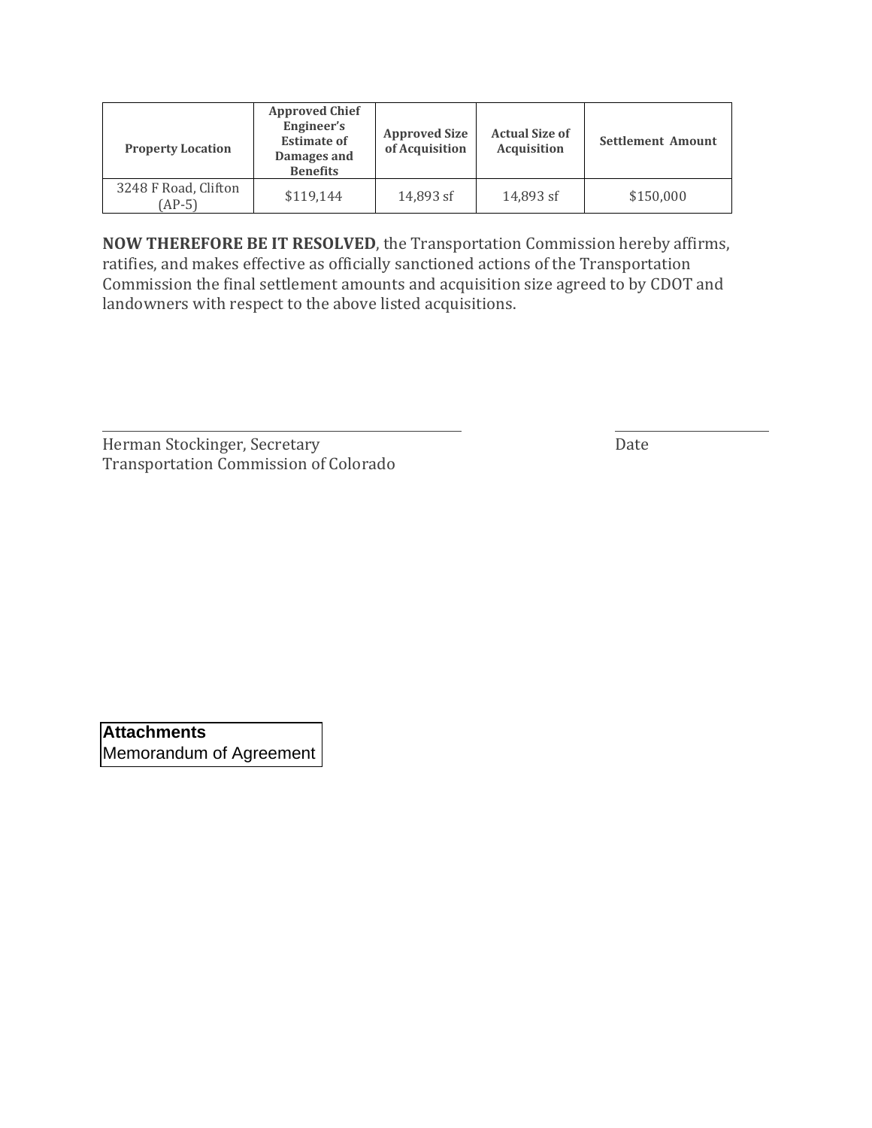| <b>Property Location</b>         | <b>Approved Chief</b><br>Engineer's<br><b>Estimate of</b><br>Damages and<br><b>Benefits</b> | <b>Approved Size</b><br>of Acquisition |           | <b>Settlement Amount</b> |  |
|----------------------------------|---------------------------------------------------------------------------------------------|----------------------------------------|-----------|--------------------------|--|
| 3248 F Road, Clifton<br>$(AP-5)$ | \$119.144                                                                                   | 14.893 sf                              | 14.893 sf | \$150,000                |  |

**NOW THEREFORE BE IT RESOLVED**, the Transportation Commission hereby affirms, ratifies, and makes effective as officially sanctioned actions of the Transportation Commission the final settlement amounts and acquisition size agreed to by CDOT and landowners with respect to the above listed acquisitions.

| Herman Stockinger, Secretary                 | Date |
|----------------------------------------------|------|
| <b>Transportation Commission of Colorado</b> |      |

**Attachments**  Memorandum of Agreement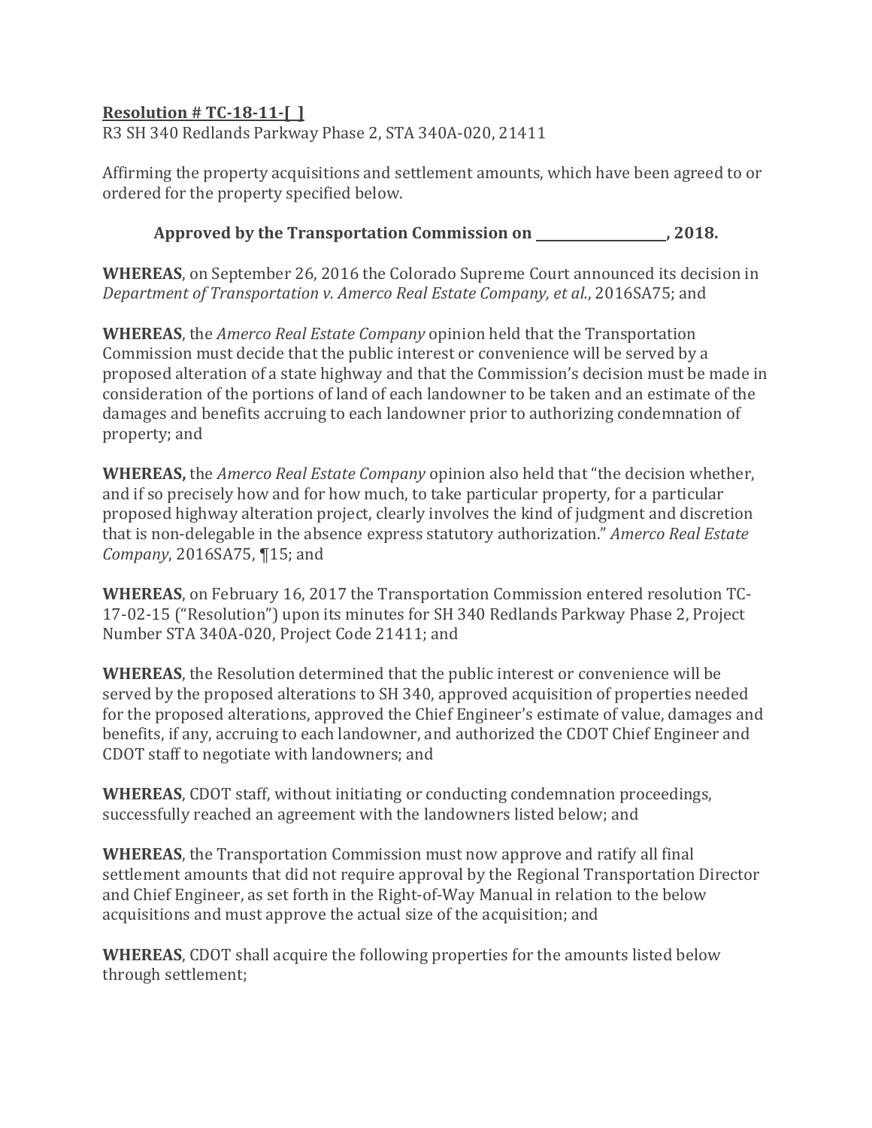R3 SH 340 Redlands Parkway Phase 2, STA 340A-020, 21411

Affirming the property acquisitions and settlement amounts, which have been agreed to or ordered for the property specified below.

**Approved by the Transportation Commission on , 2018.**

**WHEREAS**, on September 26, 2016 the Colorado Supreme Court announced its decision in *Department of Transportation v. Amerco Real Estate Company, et al.*, 2016SA75; and

**WHEREAS**, the *Amerco Real Estate Company* opinion held that the Transportation Commission must decide that the public interest or convenience will be served by a proposed alteration of a state highway and that the Commission's decision must be made in consideration of the portions of land of each landowner to be taken and an estimate of the damages and benefits accruing to each landowner prior to authorizing condemnation of property; and

**WHEREAS,** the *Amerco Real Estate Company* opinion also held that "the decision whether, and if so precisely how and for how much, to take particular property, for a particular proposed highway alteration project, clearly involves the kind of judgment and discretion that is non-delegable in the absence express statutory authorization." *Amerco Real Estate Company*, 2016SA75, ¶15; and

**WHEREAS**, on February 16, 2017 the Transportation Commission entered resolution TC-17-02-15 ("Resolution") upon its minutes for SH 340 Redlands Parkway Phase 2, Project Number STA 340A-020, Project Code 21411; and

**WHEREAS**, the Resolution determined that the public interest or convenience will be served by the proposed alterations to SH 340, approved acquisition of properties needed for the proposed alterations, approved the Chief Engineer's estimate of value, damages and benefits, if any, accruing to each landowner, and authorized the CDOT Chief Engineer and CDOT staff to negotiate with landowners; and

**WHEREAS**, CDOT staff, without initiating or conducting condemnation proceedings, successfully reached an agreement with the landowners listed below; and

**WHEREAS**, the Transportation Commission must now approve and ratify all final settlement amounts that did not require approval by the Regional Transportation Director and Chief Engineer, as set forth in the Right-of-Way Manual in relation to the below acquisitions and must approve the actual size of the acquisition; and

**WHEREAS**, CDOT shall acquire the following properties for the amounts listed below through settlement;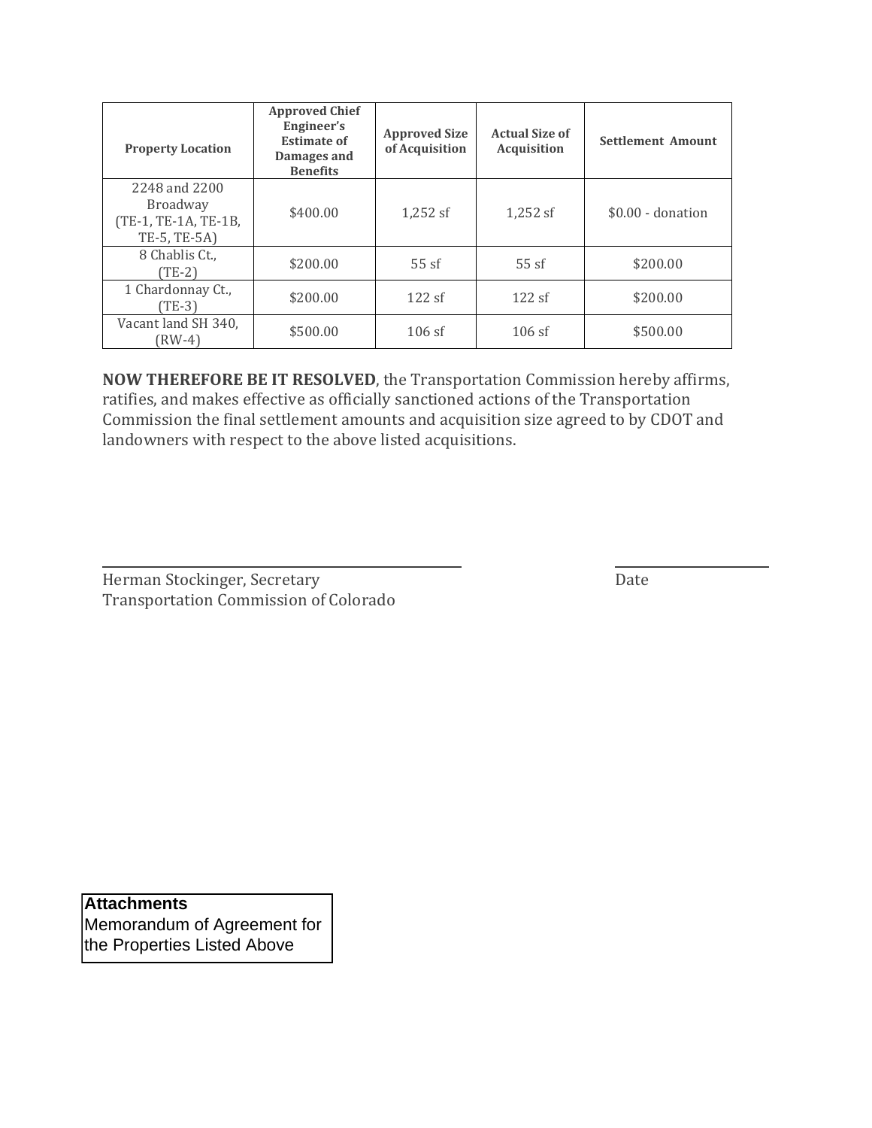| <b>Property Location</b>                                                 | <b>Approved Chief</b><br>Engineer's<br><b>Estimate of</b><br>Damages and<br><b>Benefits</b> | <b>Approved Size</b><br>of Acquisition | <b>Actual Size of</b><br><b>Acquisition</b> | <b>Settlement Amount</b> |
|--------------------------------------------------------------------------|---------------------------------------------------------------------------------------------|----------------------------------------|---------------------------------------------|--------------------------|
| 2248 and 2200<br><b>Broadway</b><br>(TE-1, TE-1A, TE-1B,<br>TE-5, TE-5A) | \$400.00                                                                                    | 1,252 sf                               | $1,252$ sf                                  | $$0.00 -$ donation       |
| 8 Chablis Ct.,<br>(TE-2)                                                 | \$200.00                                                                                    | 55sf                                   | 55sf                                        | \$200.00                 |
| 1 Chardonnay Ct.,<br>(TE-3)                                              | \$200.00                                                                                    | 122sf                                  | 122sf                                       | \$200.00                 |
| Vacant land SH 340,<br>(RW-4)                                            | \$500.00                                                                                    | $106$ sf                               | $106$ sf                                    | \$500.00                 |

**NOW THEREFORE BE IT RESOLVED**, the Transportation Commission hereby affirms, ratifies, and makes effective as officially sanctioned actions of the Transportation Commission the final settlement amounts and acquisition size agreed to by CDOT and landowners with respect to the above listed acquisitions.

Herman Stockinger, Secretary **Date** Transportation Commission of Colorado

**Attachments**  Memorandum of Agreement for

the Properties Listed Above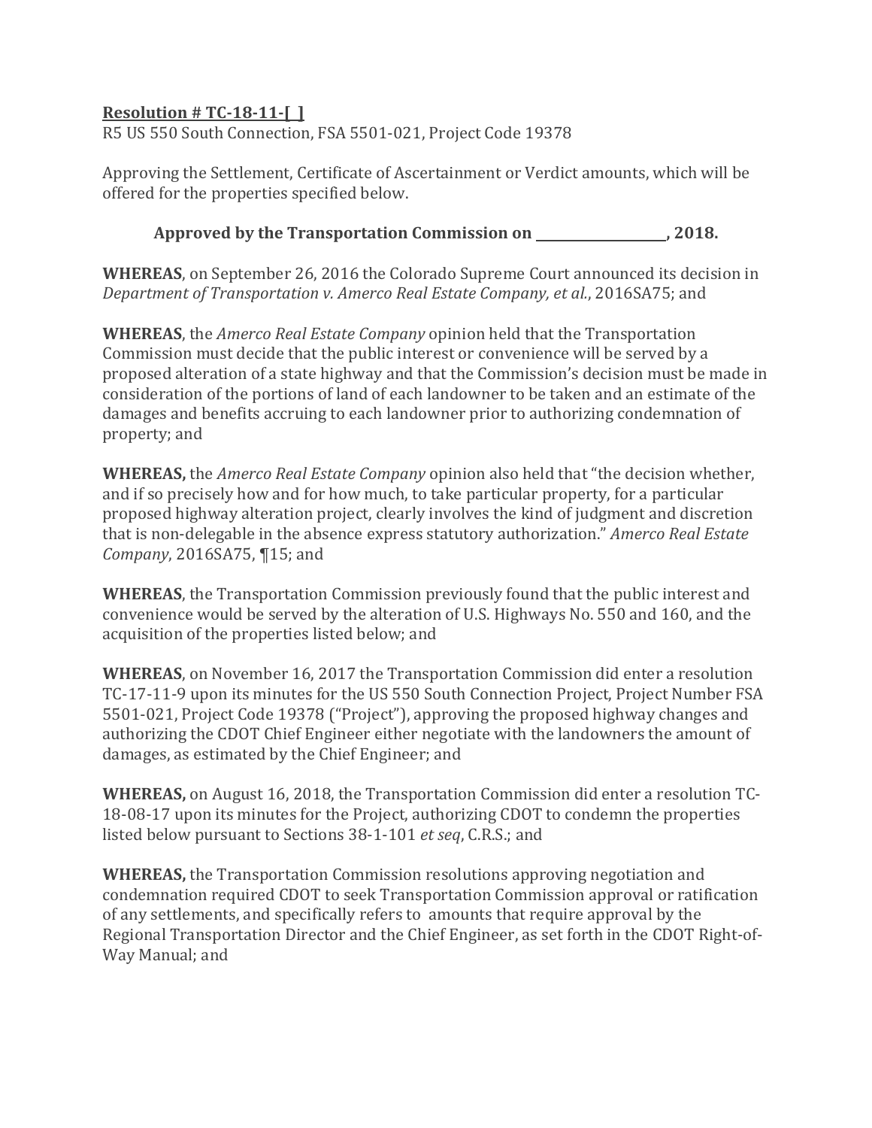R5 US 550 South Connection, FSA 5501-021, Project Code 19378

Approving the Settlement, Certificate of Ascertainment or Verdict amounts, which will be offered for the properties specified below.

**Approved by the Transportation Commission on , 2018.**

**WHEREAS**, on September 26, 2016 the Colorado Supreme Court announced its decision in *Department of Transportation v. Amerco Real Estate Company, et al.*, 2016SA75; and

**WHEREAS**, the *Amerco Real Estate Company* opinion held that the Transportation Commission must decide that the public interest or convenience will be served by a proposed alteration of a state highway and that the Commission's decision must be made in consideration of the portions of land of each landowner to be taken and an estimate of the damages and benefits accruing to each landowner prior to authorizing condemnation of property; and

**WHEREAS,** the *Amerco Real Estate Company* opinion also held that "the decision whether, and if so precisely how and for how much, to take particular property, for a particular proposed highway alteration project, clearly involves the kind of judgment and discretion that is non-delegable in the absence express statutory authorization." *Amerco Real Estate Company*, 2016SA75, ¶15; and

**WHEREAS**, the Transportation Commission previously found that the public interest and convenience would be served by the alteration of U.S. Highways No. 550 and 160, and the acquisition of the properties listed below; and

**WHEREAS**, on November 16, 2017 the Transportation Commission did enter a resolution TC-17-11-9 upon its minutes for the US 550 South Connection Project, Project Number FSA 5501-021, Project Code 19378 ("Project"), approving the proposed highway changes and authorizing the CDOT Chief Engineer either negotiate with the landowners the amount of damages, as estimated by the Chief Engineer; and

**WHEREAS,** on August 16, 2018, the Transportation Commission did enter a resolution TC-18-08-17 upon its minutes for the Project, authorizing CDOT to condemn the properties listed below pursuant to Sections 38-1-101 *et seq*, C.R.S.; and

**WHEREAS,** the Transportation Commission resolutions approving negotiation and condemnation required CDOT to seek Transportation Commission approval or ratification of any settlements, and specifically refers to amounts that require approval by the Regional Transportation Director and the Chief Engineer, as set forth in the CDOT Right-of-Way Manual; and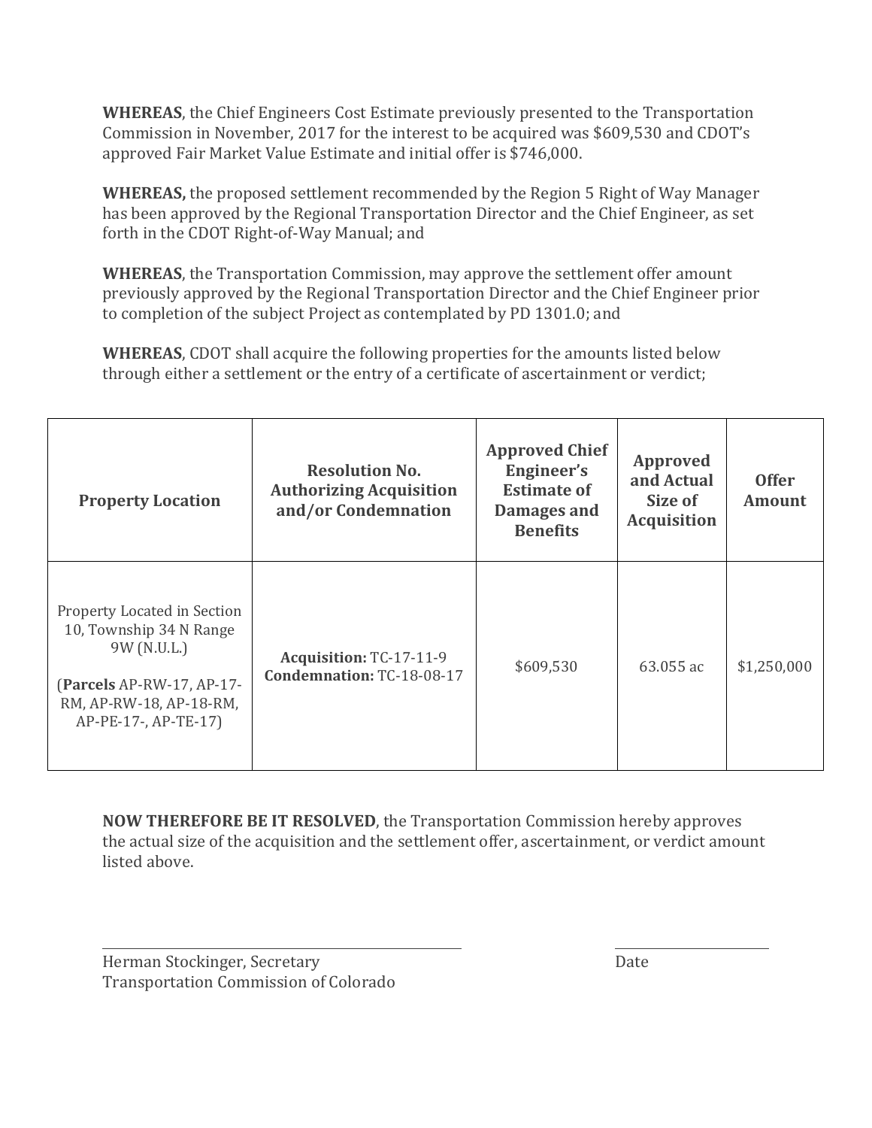**WHEREAS**, the Chief Engineers Cost Estimate previously presented to the Transportation Commission in November, 2017 for the interest to be acquired was \$609,530 and CDOT's approved Fair Market Value Estimate and initial offer is \$746,000.

**WHEREAS,** the proposed settlement recommended by the Region 5 Right of Way Manager has been approved by the Regional Transportation Director and the Chief Engineer, as set forth in the CDOT Right-of-Way Manual; and

**WHEREAS**, the Transportation Commission, may approve the settlement offer amount previously approved by the Regional Transportation Director and the Chief Engineer prior to completion of the subject Project as contemplated by PD 1301.0; and

**WHEREAS**, CDOT shall acquire the following properties for the amounts listed below through either a settlement or the entry of a certificate of ascertainment or verdict;

| <b>Property Location</b>                                                                                                                              | <b>Resolution No.</b><br><b>Authorizing Acquisition</b><br>and/or Condemnation | <b>Approved Chief</b><br>Engineer's<br><b>Estimate of</b><br>Damages and<br><b>Benefits</b> | <b>Approved</b><br>and Actual<br>Size of<br><b>Acquisition</b> | <b>Offer</b><br><b>Amount</b> |
|-------------------------------------------------------------------------------------------------------------------------------------------------------|--------------------------------------------------------------------------------|---------------------------------------------------------------------------------------------|----------------------------------------------------------------|-------------------------------|
| Property Located in Section<br>10, Township 34 N Range<br>9W (N.U.L.)<br>(Parcels AP-RW-17, AP-17-<br>RM, AP-RW-18, AP-18-RM,<br>AP-PE-17-, AP-TE-17) | Acquisition: TC-17-11-9<br><b>Condemnation: TC-18-08-17</b>                    | \$609,530                                                                                   | 63.055 ac                                                      | \$1,250,000                   |

**NOW THEREFORE BE IT RESOLVED**, the Transportation Commission hereby approves the actual size of the acquisition and the settlement offer, ascertainment, or verdict amount listed above.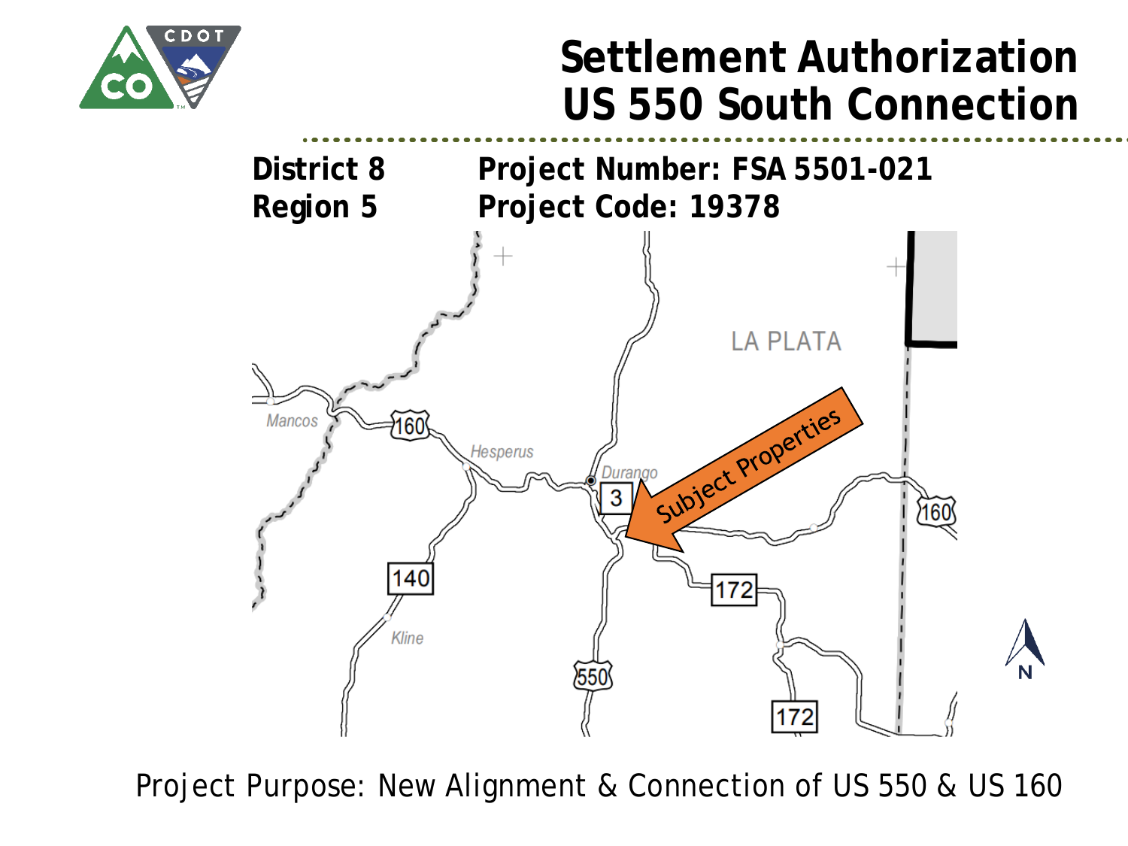

## **Settlement Authorization US 550 South Connection**



Project Purpose: New Alignment & Connection of US 550 & US 160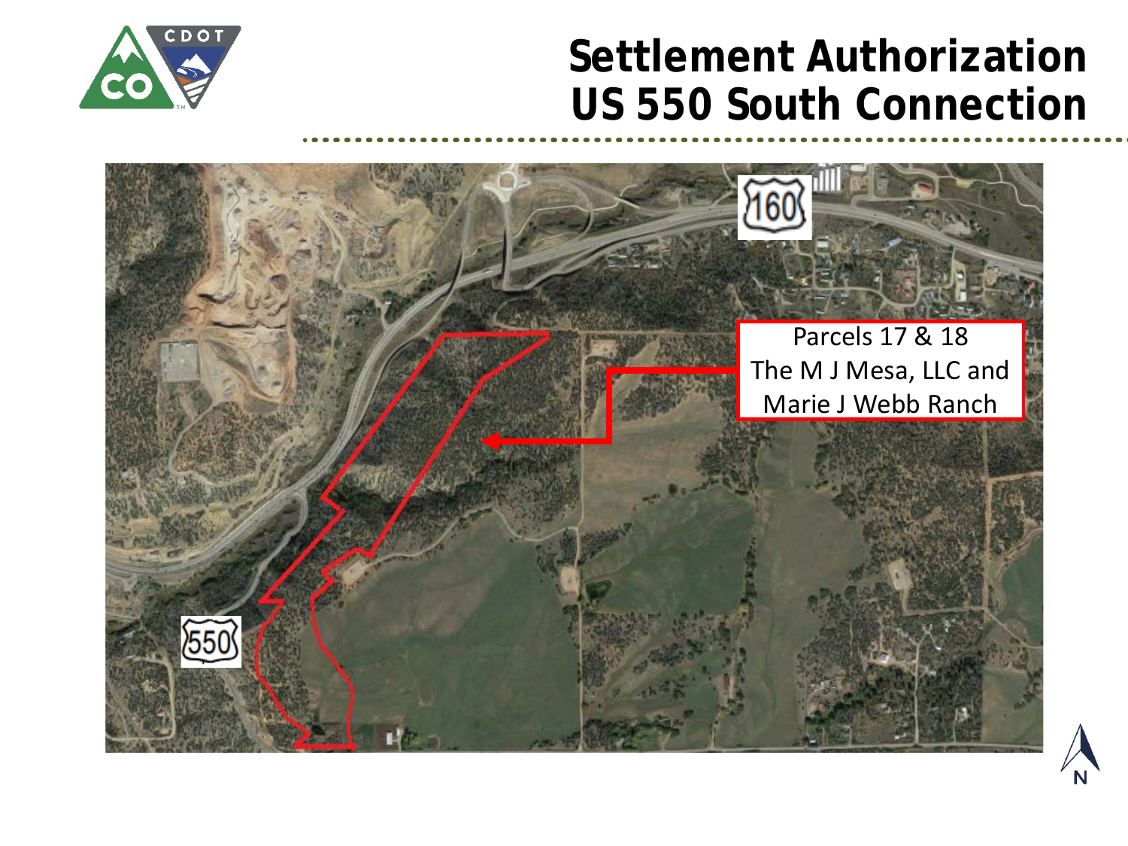### **Settlement Authorization US 550 South Connection**